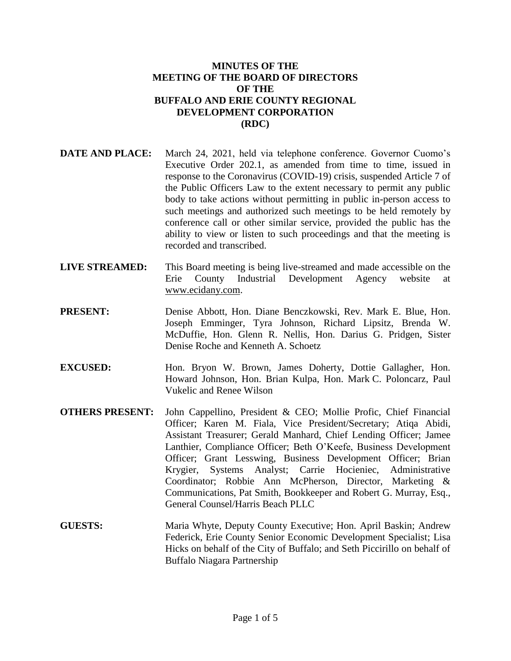#### **MINUTES OF THE MEETING OF THE BOARD OF DIRECTORS OF THE BUFFALO AND ERIE COUNTY REGIONAL DEVELOPMENT CORPORATION (RDC)**

- **DATE AND PLACE:** March 24, 2021, held via telephone conference. Governor Cuomo's Executive Order 202.1, as amended from time to time, issued in response to the Coronavirus (COVID-19) crisis, suspended Article 7 of the Public Officers Law to the extent necessary to permit any public body to take actions without permitting in public in-person access to such meetings and authorized such meetings to be held remotely by conference call or other similar service, provided the public has the ability to view or listen to such proceedings and that the meeting is recorded and transcribed.
- **LIVE STREAMED:** This Board meeting is being live-streamed and made accessible on the Erie County Industrial Development Agency website at www.ecidany.com.
- **PRESENT:** Denise Abbott, Hon. Diane Benczkowski, Rev. Mark E. Blue, Hon. Joseph Emminger, Tyra Johnson, Richard Lipsitz, Brenda W. McDuffie, Hon. Glenn R. Nellis, Hon. Darius G. Pridgen, Sister Denise Roche and Kenneth A. Schoetz
- **EXCUSED:** Hon. Bryon W. Brown, James Doherty, Dottie Gallagher, Hon. Howard Johnson, Hon. Brian Kulpa, Hon. Mark C. Poloncarz, Paul Vukelic and Renee Wilson
- **OTHERS PRESENT:** John Cappellino, President & CEO; Mollie Profic, Chief Financial Officer; Karen M. Fiala, Vice President/Secretary; Atiqa Abidi, Assistant Treasurer; Gerald Manhard, Chief Lending Officer; Jamee Lanthier, Compliance Officer; Beth O'Keefe, Business Development Officer; Grant Lesswing, Business Development Officer; Brian Krygier, Systems Analyst; Carrie Hocieniec, Administrative Coordinator; Robbie Ann McPherson, Director, Marketing & Communications, Pat Smith, Bookkeeper and Robert G. Murray, Esq., General Counsel/Harris Beach PLLC
- **GUESTS:** Maria Whyte, Deputy County Executive; Hon. April Baskin; Andrew Federick, Erie County Senior Economic Development Specialist; Lisa Hicks on behalf of the City of Buffalo; and Seth Piccirillo on behalf of Buffalo Niagara Partnership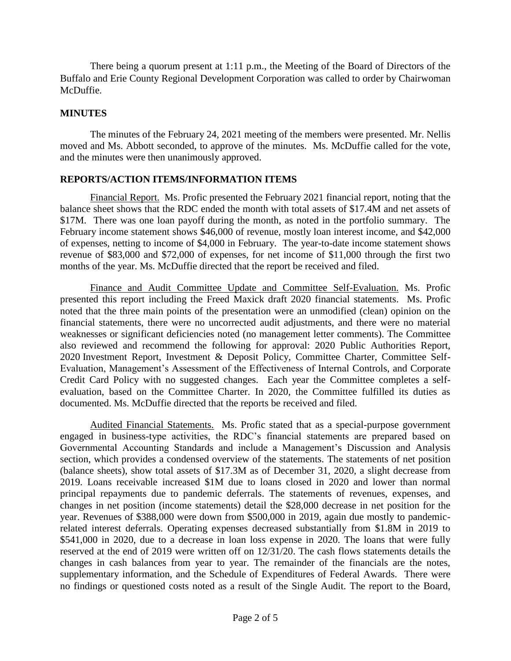There being a quorum present at 1:11 p.m., the Meeting of the Board of Directors of the Buffalo and Erie County Regional Development Corporation was called to order by Chairwoman McDuffie.

#### **MINUTES**

The minutes of the February 24, 2021 meeting of the members were presented. Mr. Nellis moved and Ms. Abbott seconded, to approve of the minutes. Ms. McDuffie called for the vote, and the minutes were then unanimously approved.

### **REPORTS/ACTION ITEMS/INFORMATION ITEMS**

Financial Report. Ms. Profic presented the February 2021 financial report, noting that the balance sheet shows that the RDC ended the month with total assets of \$17.4M and net assets of \$17M. There was one loan payoff during the month, as noted in the portfolio summary. The February income statement shows \$46,000 of revenue, mostly loan interest income, and \$42,000 of expenses, netting to income of \$4,000 in February. The year-to-date income statement shows revenue of \$83,000 and \$72,000 of expenses, for net income of \$11,000 through the first two months of the year. Ms. McDuffie directed that the report be received and filed.

Finance and Audit Committee Update and Committee Self-Evaluation. Ms. Profic presented this report including the Freed Maxick draft 2020 financial statements. Ms. Profic noted that the three main points of the presentation were an unmodified (clean) opinion on the financial statements, there were no uncorrected audit adjustments, and there were no material weaknesses or significant deficiencies noted (no management letter comments). The Committee also reviewed and recommend the following for approval: 2020 Public Authorities Report, 2020 Investment Report, Investment & Deposit Policy, Committee Charter, Committee Self-Evaluation, Management's Assessment of the Effectiveness of Internal Controls, and Corporate Credit Card Policy with no suggested changes. Each year the Committee completes a selfevaluation, based on the Committee Charter. In 2020, the Committee fulfilled its duties as documented. Ms. McDuffie directed that the reports be received and filed.

Audited Financial Statements. Ms. Profic stated that as a special-purpose government engaged in business-type activities, the RDC's financial statements are prepared based on Governmental Accounting Standards and include a Management's Discussion and Analysis section, which provides a condensed overview of the statements. The statements of net position (balance sheets), show total assets of \$17.3M as of December 31, 2020, a slight decrease from 2019. Loans receivable increased \$1M due to loans closed in 2020 and lower than normal principal repayments due to pandemic deferrals. The statements of revenues, expenses, and changes in net position (income statements) detail the \$28,000 decrease in net position for the year. Revenues of \$388,000 were down from \$500,000 in 2019, again due mostly to pandemicrelated interest deferrals. Operating expenses decreased substantially from \$1.8M in 2019 to \$541,000 in 2020, due to a decrease in loan loss expense in 2020. The loans that were fully reserved at the end of 2019 were written off on 12/31/20. The cash flows statements details the changes in cash balances from year to year. The remainder of the financials are the notes, supplementary information, and the Schedule of Expenditures of Federal Awards. There were no findings or questioned costs noted as a result of the Single Audit. The report to the Board,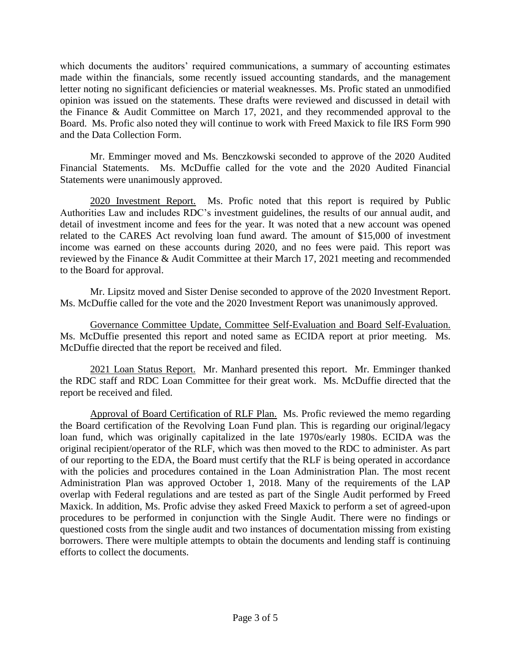which documents the auditors' required communications, a summary of accounting estimates made within the financials, some recently issued accounting standards, and the management letter noting no significant deficiencies or material weaknesses. Ms. Profic stated an unmodified opinion was issued on the statements. These drafts were reviewed and discussed in detail with the Finance & Audit Committee on March 17, 2021, and they recommended approval to the Board. Ms. Profic also noted they will continue to work with Freed Maxick to file IRS Form 990 and the Data Collection Form.

Mr. Emminger moved and Ms. Benczkowski seconded to approve of the 2020 Audited Financial Statements. Ms. McDuffie called for the vote and the 2020 Audited Financial Statements were unanimously approved.

2020 Investment Report. Ms. Profic noted that this report is required by Public Authorities Law and includes RDC's investment guidelines, the results of our annual audit, and detail of investment income and fees for the year. It was noted that a new account was opened related to the CARES Act revolving loan fund award. The amount of \$15,000 of investment income was earned on these accounts during 2020, and no fees were paid. This report was reviewed by the Finance & Audit Committee at their March 17, 2021 meeting and recommended to the Board for approval.

Mr. Lipsitz moved and Sister Denise seconded to approve of the 2020 Investment Report. Ms. McDuffie called for the vote and the 2020 Investment Report was unanimously approved.

Governance Committee Update, Committee Self-Evaluation and Board Self-Evaluation. Ms. McDuffie presented this report and noted same as ECIDA report at prior meeting. Ms. McDuffie directed that the report be received and filed.

2021 Loan Status Report. Mr. Manhard presented this report. Mr. Emminger thanked the RDC staff and RDC Loan Committee for their great work. Ms. McDuffie directed that the report be received and filed.

Approval of Board Certification of RLF Plan. Ms. Profic reviewed the memo regarding the Board certification of the Revolving Loan Fund plan. This is regarding our original/legacy loan fund, which was originally capitalized in the late 1970s/early 1980s. ECIDA was the original recipient/operator of the RLF, which was then moved to the RDC to administer. As part of our reporting to the EDA, the Board must certify that the RLF is being operated in accordance with the policies and procedures contained in the Loan Administration Plan. The most recent Administration Plan was approved October 1, 2018. Many of the requirements of the LAP overlap with Federal regulations and are tested as part of the Single Audit performed by Freed Maxick. In addition, Ms. Profic advise they asked Freed Maxick to perform a set of agreed-upon procedures to be performed in conjunction with the Single Audit. There were no findings or questioned costs from the single audit and two instances of documentation missing from existing borrowers. There were multiple attempts to obtain the documents and lending staff is continuing efforts to collect the documents.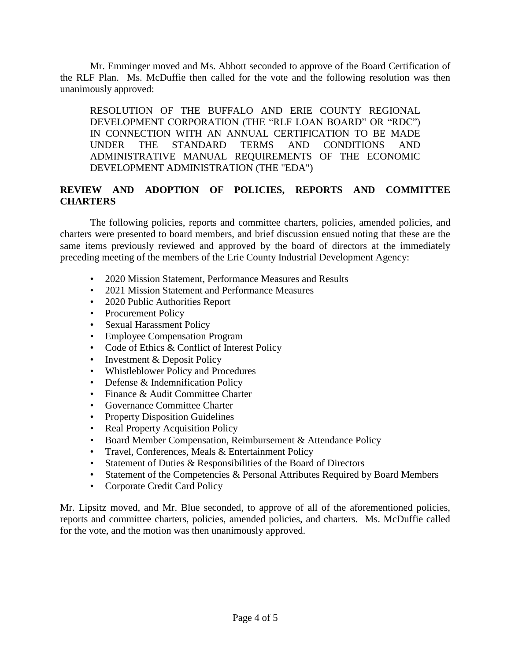Mr. Emminger moved and Ms. Abbott seconded to approve of the Board Certification of the RLF Plan. Ms. McDuffie then called for the vote and the following resolution was then unanimously approved:

RESOLUTION OF THE BUFFALO AND ERIE COUNTY REGIONAL DEVELOPMENT CORPORATION (THE "RLF LOAN BOARD" OR "RDC") IN CONNECTION WITH AN ANNUAL CERTIFICATION TO BE MADE UNDER THE STANDARD TERMS AND CONDITIONS AND ADMINISTRATIVE MANUAL REQUIREMENTS OF THE ECONOMIC DEVELOPMENT ADMINISTRATION (THE "EDA")

# **REVIEW AND ADOPTION OF POLICIES, REPORTS AND COMMITTEE CHARTERS**

The following policies, reports and committee charters, policies, amended policies, and charters were presented to board members, and brief discussion ensued noting that these are the same items previously reviewed and approved by the board of directors at the immediately preceding meeting of the members of the Erie County Industrial Development Agency:

- 2020 Mission Statement, Performance Measures and Results
- 2021 Mission Statement and Performance Measures
- 2020 Public Authorities Report
- Procurement Policy
- Sexual Harassment Policy
- Employee Compensation Program
- Code of Ethics & Conflict of Interest Policy
- Investment & Deposit Policy
- Whistleblower Policy and Procedures
- Defense & Indemnification Policy
- Finance & Audit Committee Charter
- Governance Committee Charter
- Property Disposition Guidelines
- Real Property Acquisition Policy
- Board Member Compensation, Reimbursement & Attendance Policy
- Travel, Conferences, Meals & Entertainment Policy
- Statement of Duties & Responsibilities of the Board of Directors
- Statement of the Competencies & Personal Attributes Required by Board Members
- Corporate Credit Card Policy

Mr. Lipsitz moved, and Mr. Blue seconded, to approve of all of the aforementioned policies, reports and committee charters, policies, amended policies, and charters. Ms. McDuffie called for the vote, and the motion was then unanimously approved.